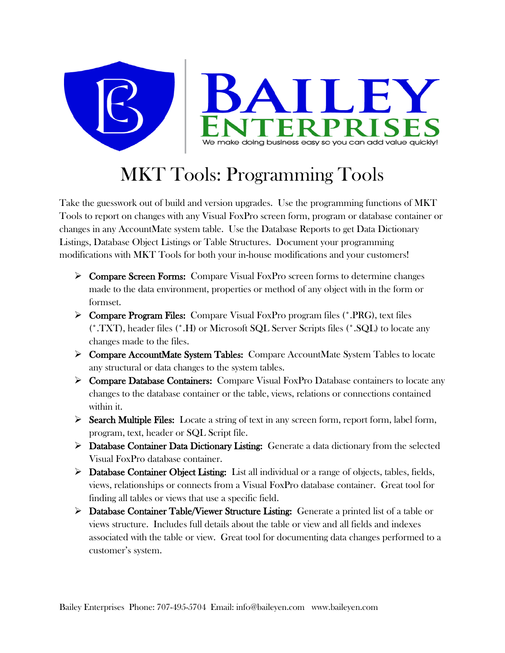

## MKT Tools: Programming Tools

Take the guesswork out of build and version upgrades. Use the programming functions of MKT Tools to report on changes with any Visual FoxPro screen form, program or database container or changes in any AccountMate system table. Use the Database Reports to get Data Dictionary Listings, Database Object Listings or Table Structures. Document your programming modifications with MKT Tools for both your in-house modifications and your customers!

- ▶ Compare Screen Forms: Compare Visual FoxPro screen forms to determine changes made to the data environment, properties or method of any object with in the form or formset.
- $\triangleright$  Compare Program Files: Compare Visual FoxPro program files (\*.PRG), text files (\*.TXT), header files (\*.H) or Microsoft SQL Server Scripts files (\*.SQL) to locate any changes made to the files.
- Compare AccountMate System Tables: Compare AccountMate System Tables to locate any structural or data changes to the system tables.
- $\triangleright$  Compare Database Containers: Compare Visual FoxPro Database containers to locate any changes to the database container or the table, views, relations or connections contained within it.
- $\triangleright$  Search Multiple Files: Locate a string of text in any screen form, report form, label form, program, text, header or SQL Script file.
- $\triangleright$  Database Container Data Dictionary Listing: Generate a data dictionary from the selected Visual FoxPro database container.
- $\triangleright$  Database Container Object Listing: List all individual or a range of objects, tables, fields, views, relationships or connects from a Visual FoxPro database container. Great tool for finding all tables or views that use a specific field.
- $\triangleright$  Database Container Table/Viewer Structure Listing: Generate a printed list of a table or views structure. Includes full details about the table or view and all fields and indexes associated with the table or view. Great tool for documenting data changes performed to a customer's system.